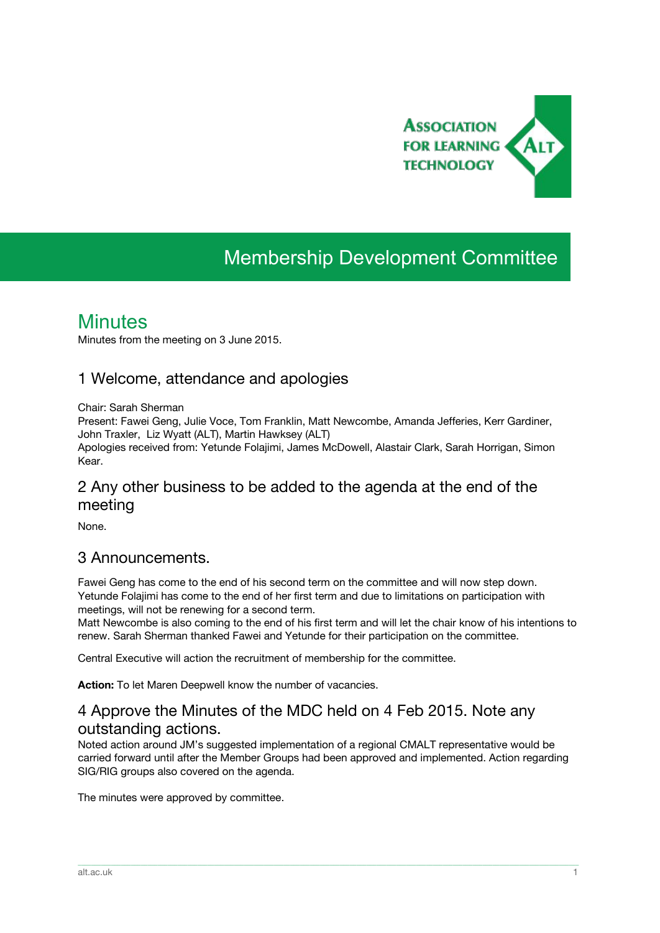

# Membership Development Committee

## **Minutes**

Minutes from the meeting on 3 June 2015.

#### 1 Welcome, attendance and apologies

Chair: Sarah Sherman

Present: Fawei Geng, Julie Voce, Tom Franklin, Matt Newcombe, Amanda Jefferies, Kerr Gardiner, John Traxler, Liz Wyatt (ALT), Martin Hawksey (ALT)

Apologies received from: Yetunde Folajimi, James McDowell, Alastair Clark, Sarah Horrigan, Simon Kear.

### 2 Any other business to be added to the agenda at the end of the meeting

None.

#### 3 Announcements.

Fawei Geng has come to the end of his second term on the committee and will now step down. Yetunde Folajimi has come to the end of her first term and due to limitations on participation with meetings, will not be renewing for a second term.

Matt Newcombe is also coming to the end of his first term and will let the chair know of his intentions to renew. Sarah Sherman thanked Fawei and Yetunde for their participation on the committee.

Central Executive will action the recruitment of membership for the committee.

**Action:**To let Maren Deepwell know the number of vacancies.

### 4 Approve the Minutes of the MDC held on 4 Feb 2015. Note any outstanding actions.

Noted action around JM's suggested implementation of a regional CMALT representative would be carried forward until after the Member Groups had been approved and implemented. Action regarding SIG/RIG groups also covered on the agenda.

\_\_\_\_\_\_\_\_\_\_\_\_\_\_\_\_\_\_\_\_\_\_\_\_\_\_\_\_\_\_\_\_\_\_\_\_\_\_\_\_\_\_\_\_\_\_\_\_\_\_\_\_\_\_\_\_\_\_\_\_\_\_\_\_\_\_\_\_\_\_\_\_\_\_\_\_\_\_\_\_\_\_\_\_\_\_\_\_\_\_\_\_\_\_\_\_\_\_\_\_\_\_\_\_\_\_\_\_\_\_\_\_\_\_\_\_\_\_\_\_\_\_\_\_\_\_\_\_\_\_\_\_\_\_\_\_\_\_\_\_\_\_\_\_\_\_\_\_\_\_\_

The minutes were approved by committee.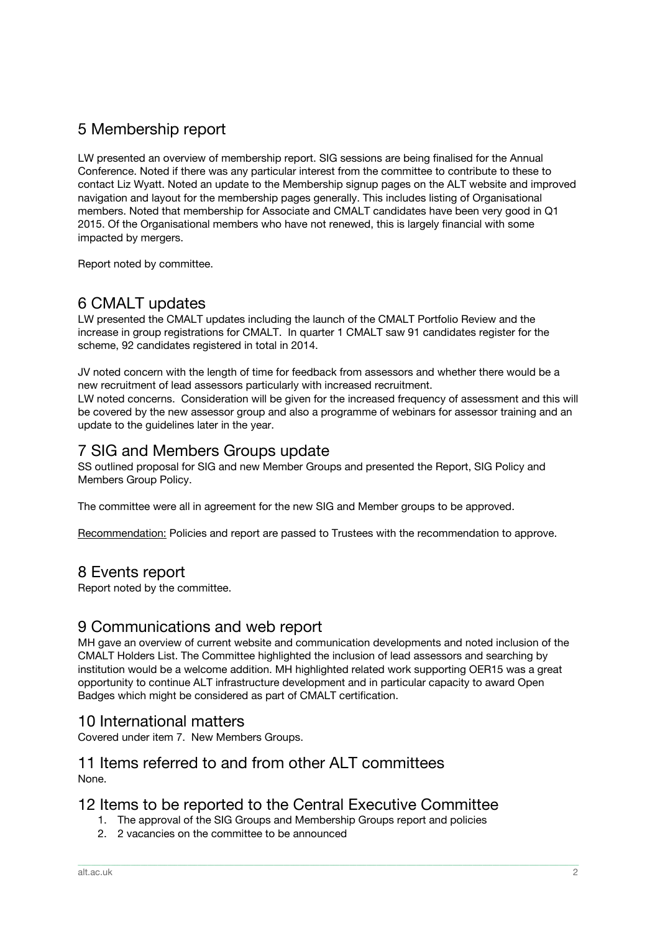## 5 Membership report

LW presented an overview of membership report. SIG sessions are being finalised for the Annual Conference. Noted if there was any particular interest from the committee to contribute to these to contact Liz Wyatt. Noted an update to the Membership signup pages on the ALT website and improved navigation and layout for the membership pages generally. This includes listing of Organisational members. Noted that membership for Associate and CMALT candidates have been very good in Q1 2015. Of the Organisational members who have not renewed, this is largely financial with some impacted by mergers.

Report noted by committee.

## 6 CMALT updates

LW presented the CMALT updates including the launch of the CMALT Portfolio Review and the increase in group registrations for CMALT. In quarter 1 CMALT saw 91 candidates register for the scheme, 92 candidates registered in total in 2014.

JV noted concern with the length of time for feedback from assessors and whether there would be a new recruitment of lead assessors particularly with increased recruitment.

LW noted concerns. Consideration will be given for the increased frequency of assessment and this will be covered by the new assessor group and also a programme of webinars for assessor training and an update to the guidelines later in the year.

#### 7 SIG and Members Groups update

SS outlined proposal for SIG and new Member Groups and presented the Report, SIG Policy and Members Group Policy.

The committee were all in agreement for the new SIG and Member groups to be approved.

Recommendation: Policies and report are passed to Trustees with the recommendation to approve.

### 8 Events report

Report noted by the committee.

#### 9 Communications and web report

MH gave an overview of current website and communication developments and noted inclusion of the CMALT Holders List. The Committee highlighted the inclusion of lead assessors and searching by institution would be a welcome addition. MH highlighted related work supporting OER15 was a great opportunity to continue ALT infrastructure development and in particular capacity to award Open Badges which might be considered as part of CMALT certification.

\_\_\_\_\_\_\_\_\_\_\_\_\_\_\_\_\_\_\_\_\_\_\_\_\_\_\_\_\_\_\_\_\_\_\_\_\_\_\_\_\_\_\_\_\_\_\_\_\_\_\_\_\_\_\_\_\_\_\_\_\_\_\_\_\_\_\_\_\_\_\_\_\_\_\_\_\_\_\_\_\_\_\_\_\_\_\_\_\_\_\_\_\_\_\_\_\_\_\_\_\_\_\_\_\_\_\_\_\_\_\_\_\_\_\_\_\_\_\_\_\_\_\_\_\_\_\_\_\_\_\_\_\_\_\_\_\_\_\_\_\_\_\_\_\_\_\_\_\_\_\_

#### 10 International matters

Covered under item 7. New Members Groups.

#### 11 Items referred to and from other ALT committees None.

#### 12 Items to be reported to the Central Executive Committee

- 1. The approval of the SIG Groups and Membership Groups report and policies
- 2. 2 vacancies on the committee to be announced